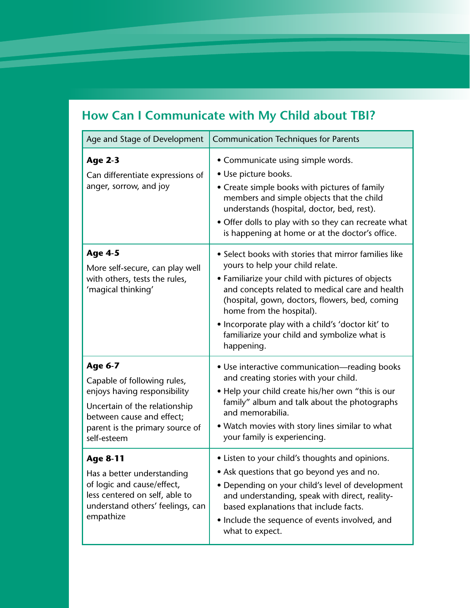## **How Can I Communicate with My Child about TBI?**

| Age and Stage of Development                                                                                                                                                                  | <b>Communication Techniques for Parents</b>                                                                                                                                                                                                                                                                                                                                                        |
|-----------------------------------------------------------------------------------------------------------------------------------------------------------------------------------------------|----------------------------------------------------------------------------------------------------------------------------------------------------------------------------------------------------------------------------------------------------------------------------------------------------------------------------------------------------------------------------------------------------|
| <b>Age 2-3</b><br>Can differentiate expressions of<br>anger, sorrow, and joy                                                                                                                  | • Communicate using simple words.<br>• Use picture books.<br>• Create simple books with pictures of family<br>members and simple objects that the child<br>understands (hospital, doctor, bed, rest).<br>• Offer dolls to play with so they can recreate what<br>is happening at home or at the doctor's office.                                                                                   |
| <b>Age 4-5</b><br>More self-secure, can play well<br>with others, tests the rules,<br>'magical thinking'                                                                                      | • Select books with stories that mirror families like<br>yours to help your child relate.<br>• Familiarize your child with pictures of objects<br>and concepts related to medical care and health<br>(hospital, gown, doctors, flowers, bed, coming<br>home from the hospital).<br>• Incorporate play with a child's 'doctor kit' to<br>familiarize your child and symbolize what is<br>happening. |
| <b>Age 6-7</b><br>Capable of following rules,<br>enjoys having responsibility<br>Uncertain of the relationship<br>between cause and effect;<br>parent is the primary source of<br>self-esteem | • Use interactive communication—reading books<br>and creating stories with your child.<br>• Help your child create his/her own "this is our<br>family" album and talk about the photographs<br>and memorabilia.<br>• Watch movies with story lines similar to what<br>your family is experiencing.                                                                                                 |
| <b>Age 8-11</b><br>Has a better understanding<br>of logic and cause/effect,<br>less centered on self, able to<br>understand others' feelings, can<br>empathize                                | • Listen to your child's thoughts and opinions.<br>• Ask questions that go beyond yes and no.<br>• Depending on your child's level of development<br>and understanding, speak with direct, reality-<br>based explanations that include facts.<br>• Include the sequence of events involved, and<br>what to expect.                                                                                 |